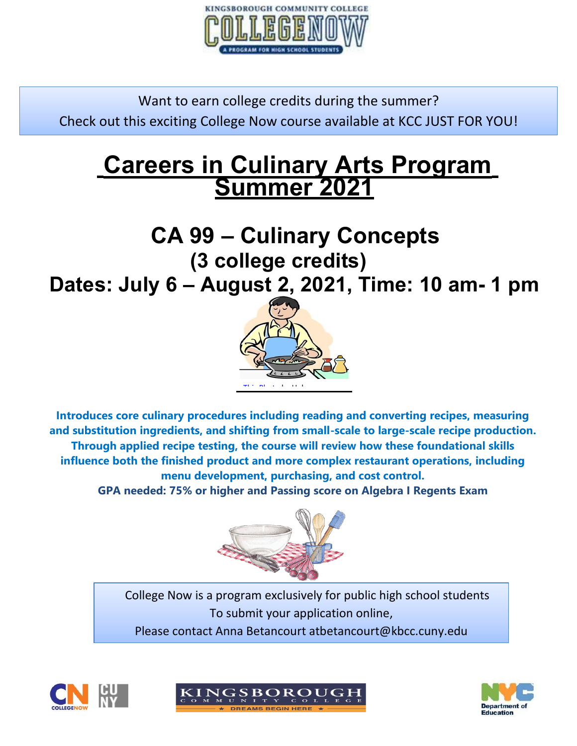

Want to earn college credits during the summer? Check out this exciting College Now course available at KCC JUST FOR YOU!

# **Careers in Culinary Arts Program Summer 2021**

# **CA 99 – Culinary Concepts (3 college credits)**

**Dates: July 6 – August 2, 2021, Time: 10 am- 1 pm**



**Introduces core culinary procedur[es includ](https://creativecommons.org/licenses/by-nc-nd/3.0/)ing reading and converting recipes, measuring and substitution ingredients, and shifting from small-scale to large-scale recipe production. Through applied recipe testing, the course will review how these foundational skills influence both the finished product and more complex restaurant operations, including menu development, purchasing, and cost control.**

**GPA needed: 75% or higher and Passing score on Algebra I Regents Exam**



 $\frac{1}{2}$ College Now is a program exclusively for public high school students To submit y[our applic](https://creativecommons.org/licenses/by-nc-nd/3.0/)ation online, Please contact Anna Betancourt atbetancourt@kbcc.cuny.edu





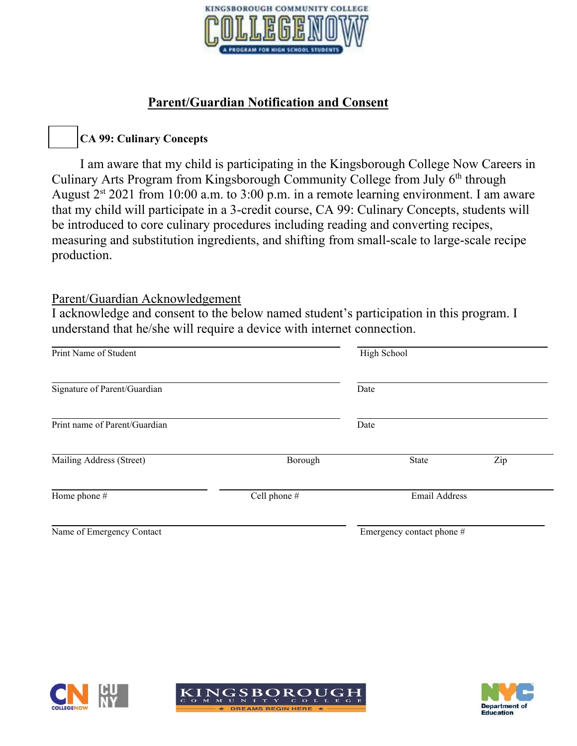

### **Parent/Guardian Notification and Consent**

### **CA 99: Culinary Concepts**

I am aware that my child is participating in the Kingsborough College Now Careers in Culinary Arts Program from Kingsborough Community College from July 6<sup>th</sup> through August  $2^{st}$  2021 from 10:00 a.m. to 3:00 p.m. in a remote learning environment. I am aware that my child will participate in a 3-credit course, CA 99: Culinary Concepts, students will be introduced to core culinary procedures including reading and converting recipes, measuring and substitution ingredients, and shifting from small-scale to large-scale recipe production.

#### Parent/Guardian Acknowledgement

I acknowledge and consent to the below named student's participation in this program. I understand that he/she will require a device with internet connection.

| Print Name of Student         |              | High School               |     |  |
|-------------------------------|--------------|---------------------------|-----|--|
| Signature of Parent/Guardian  |              | Date                      |     |  |
| Print name of Parent/Guardian |              | Date                      |     |  |
| Mailing Address (Street)      | Borough      | State                     | Zip |  |
| Home phone #                  | Cell phone # | <b>Email Address</b>      |     |  |
| Name of Emergency Contact     |              | Emergency contact phone # |     |  |